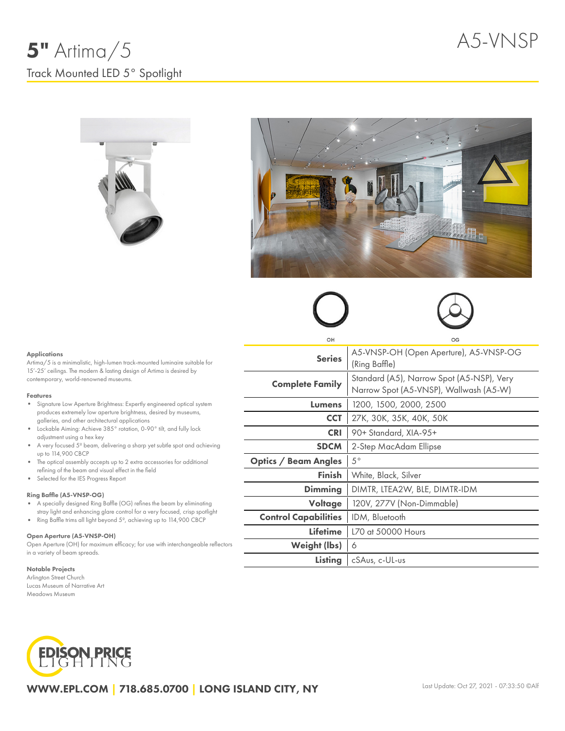



#### Applications

Artima/5 is a minimalistic, high-lumen track-mounted luminaire suitable for 15'-25' ceilings. The modern & lasting design of Artima is desired by contemporary, world-renowned museums.

#### Features

- Signature Low Aperture Brightness: Expertly engineered optical system produces extremely low aperture brightness, desired by museums, galleries, and other architectural applications
- Lockable Aiming: Achieve 385° rotation, 0-90° tilt, and fully lock ò. adjustment using a hex key
- $\bullet$ A very focused 5º beam, delivering a sharp yet subtle spot and achieving up to 114,900 CBCP
- $\bullet$ The optical assembly accepts up to 2 extra accessories for additional refining of the beam and visual effect in the field
- $\bullet$ Selected for the IES Progress Report

### Ring Baffle (A5-VNSP-OG)

- A specially designed Ring Baffle (OG) refines the beam by eliminating stray light and enhancing glare control for a very focused, crisp spotlight
- Ring Baffle trims all light beyond  $5^\circ$ , achieving up to 114,900 CBCP

#### Open Aperture (A5-VNSP-OH)

Open Aperture (OH) for maximum efficacy; for use with interchangeable reflectors in a variety of beam spreads.

#### Notable Projects

Arlington Street Church Lucas Museum of Narrative Art Meadows Museum



| WWW.EPL.COM 718.685.0700 LONG ISLAND CITY, NY |  |  |  |  |
|-----------------------------------------------|--|--|--|--|
|-----------------------------------------------|--|--|--|--|

| OH                          | OG<br>A5-VNSP-OH (Open Aperture), A5-VNSP-OG<br>(Ring Baffle)<br>Standard (A5), Narrow Spot (A5-NSP), Very<br>Narrow Spot (A5-VNSP), Wallwash (A5-W) |  |  |  |  |
|-----------------------------|------------------------------------------------------------------------------------------------------------------------------------------------------|--|--|--|--|
| <b>Series</b>               |                                                                                                                                                      |  |  |  |  |
| <b>Complete Family</b>      |                                                                                                                                                      |  |  |  |  |
| Lumens                      | 1200, 1500, 2000, 2500                                                                                                                               |  |  |  |  |
| <b>CCT</b>                  | 27K, 30K, 35K, 40K, 50K                                                                                                                              |  |  |  |  |
| <b>CRI</b>                  | 90+ Standard, XIA-95+                                                                                                                                |  |  |  |  |
| <b>SDCM</b>                 | 2-Step MacAdam Ellipse                                                                                                                               |  |  |  |  |
| Optics / Beam Angles        | $5^{\circ}$                                                                                                                                          |  |  |  |  |
| Finish                      | White, Black, Silver                                                                                                                                 |  |  |  |  |
| <b>Dimming</b>              | DIMTR, LTEA2W, BLE, DIMTR-IDM                                                                                                                        |  |  |  |  |
| Voltage                     | 120V, 277V (Non-Dimmable)                                                                                                                            |  |  |  |  |
| <b>Control Capabilities</b> | IDM, Bluetooth                                                                                                                                       |  |  |  |  |
| Lifetime                    | L70 at 50000 Hours                                                                                                                                   |  |  |  |  |
| Weight (lbs)                | 6                                                                                                                                                    |  |  |  |  |
| Listing                     | cSAus, c-UL-us                                                                                                                                       |  |  |  |  |
|                             |                                                                                                                                                      |  |  |  |  |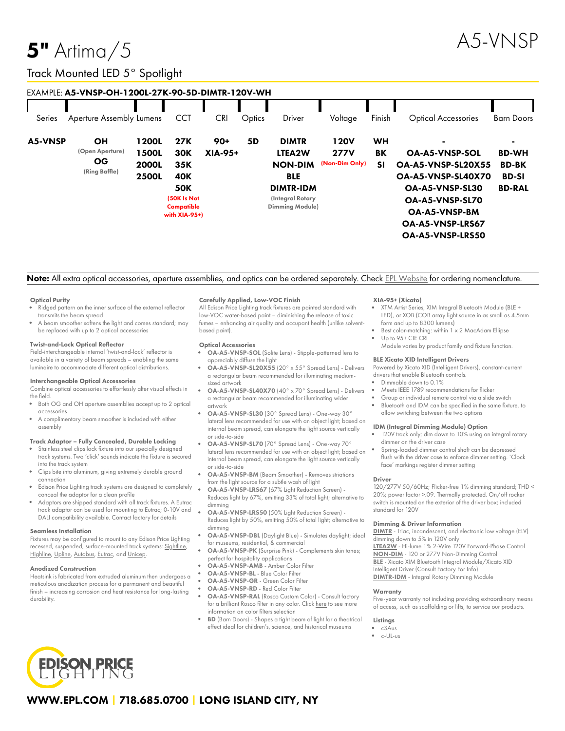# $5"$  Artima $/5$

# Track Mounted LED 5° Spotlight

|         | EXAMPLE: A5-VNSP-OH-1200L-27K-90-5D-DIMTR-120V-WH   |                                                       |                                                                                                    |                         |        |                                                                                                                          |                                              |                       |                                                                                                                                                                                                   |                                                                                 |
|---------|-----------------------------------------------------|-------------------------------------------------------|----------------------------------------------------------------------------------------------------|-------------------------|--------|--------------------------------------------------------------------------------------------------------------------------|----------------------------------------------|-----------------------|---------------------------------------------------------------------------------------------------------------------------------------------------------------------------------------------------|---------------------------------------------------------------------------------|
| Series  | Aperture Assembly Lumens                            |                                                       | <b>CCT</b>                                                                                         | <b>CRI</b>              | Optics | Driver                                                                                                                   | Voltage                                      | Finish                | <b>Optical Accessories</b>                                                                                                                                                                        | <b>Barn Doors</b>                                                               |
| A5-VNSP | OН<br>(Open Aperture)<br><b>OG</b><br>(Ring Baffle) | 1200L<br><b>1500L</b><br><b>2000L</b><br><b>2500L</b> | 27K<br><b>30K</b><br>35K<br><b>40K</b><br><b>50K</b><br>(50K Is Not<br>Compatible<br>with XIA-95+) | $90+$<br><b>XIA-95+</b> | 5D     | <b>DIMTR</b><br>LTEA2W<br><b>NON-DIM</b><br><b>BLE</b><br><b>DIMTR-IDM</b><br>(Integral Rotary<br><b>Dimming Module)</b> | <b>120V</b><br><b>277V</b><br>(Non-Dim Only) | WH<br>BK<br><b>SI</b> | $\blacksquare$<br><b>OA-A5-VNSP-SOL</b><br><b>OA-A5-VNSP-SL20X55</b><br><b>OA-A5-VNSP-SL40X70</b><br><b>OA-A5-VNSP-SL30</b><br>OA-A5-VNSP-SL70<br><b>OA-A5-VNSP-BM</b><br><b>OA-A5-VNSP-LRS67</b> | $\blacksquare$<br><b>BD-WH</b><br><b>BD-BK</b><br><b>BD-SI</b><br><b>BD-RAL</b> |
|         |                                                     |                                                       |                                                                                                    |                         |        |                                                                                                                          |                                              |                       | <b>OA-A5-VNSP-LRS50</b>                                                                                                                                                                           |                                                                                 |

## Note: All extra optical accessories, aperture assemblies, and optics can be ordered separately. Check EPL [Website](https://www.epl.com/) for ordering nomenclature.

#### Optical Purity

- Ridged pattern on the inner surface of the external reflector transmits the beam spread
- A beam smoother softens the light and comes standard; may be replaced with up to 2 optical accessories

#### Twist-and-Lock Optical Reflector

Field-interchangeable internal 'twist-and-lock' reflector is available in a variety of beam spreads – enabling the same luminaire to accommodate different optical distributions.

#### Interchangeable Optical Accessories

Combine optical accessories to effortlessly alter visual effects in the field.

- Both OG and OH aperture assemblies accept up to 2 optical accessories
- A complimentary beam smoother is included with either assembly

#### Track Adaptor – Fully Concealed, Durable Locking

- Stainless steel clips lock fixture into our specially designed track systems. Two 'click' sounds indicate the fixture is secured into the track system
- Clips bite into aluminum, giving extremely durable ground connection
- Edison Price Lighting track systems are designed to completely  $\bullet$ conceal the adaptor for a clean profile
- Adaptors are shipped standard with all track fixtures. A Eutrac track adaptor can be used for mounting to Eutrac; 0-10V and DALI compatibility available. Contact factory for details

#### Seamless Installation

Fixtures may be configured to mount to any Edison Price Lighting recessed, suspended, surface-mounted track systems: [Sightline,](https://epl.com/sightline/) [Highline](https://epl.com/highline/), [Upline](https://epl.com/upline/), [Autobus,](https://epl.com/autobus/) [Eutrac,](https://eutrac.de/product/2surface-track-bus/?lang=en) and [Unicep.](https://epl.com/unicep/)

#### Anodized Construction

Heatsink is fabricated from extruded aluminum then undergoes a meticulous anodization process for a permanent and beautiful finish – increasing corrosion and heat resistance for long-lasting durability.

#### Carefully Applied, Low-VOC Finish

All Edison Price Lighting track fixtures are painted standard with low-VOC water-based paint – diminishing the release of toxic fumes – enhancing air quality and occupant health (unlike solventbased paint).

#### Optical Accessories

- OA-A5-VNSP-SOL (Solite Lens) Stipple-patterned lens to appreciably diffuse the light
- OA-A5-VNSP-SL20X55 (20° x 55° Spread Lens) Delivers a rectangular beam recommended for illuminating mediumsized artwork
- OA-A5-VNSP-SL40X70 (40° x 70° Spread Lens) Delivers a rectangular beam recommended for illuminating wider artwork
- OA-A5-VNSP-SL30 (30° Spread Lens) One-way 30° lateral lens recommended for use with an object light; based on internal beam spread, can elongate the light source vertically or side-to-side
- OA-A5-VNSP-SL70 (70° Spread Lens) One-way 70° lateral lens recommended for use with an object light; based on internal beam spread, can elongate the light source vertically or side-to-side
- OA-A5-VNSP-BM (Beam Smoother) Removes striations from the light source for a subtle wash of light
- OA-A5-VNSP-LRS67 (67% Light Reduction Screen) Reduces light by 67%, emitting 33% of total light; alternative to dimming
- OA-A5-VNSP-LRS50 (50% Light Reduction Screen) Reduces light by 50%, emitting 50% of total light; alternative to dimming
- OA-A5-VNSP-DBL (Daylight Blue) Simulates daylight; ideal for museums, residential, & commercial
- OA-A5-VNSP-PK (Surprise Pink) Complements skin tones; perfect for hospitality applications
- OA-A5-VNSP-AMB Amber Color Filter
- OA-A5-VNSP-BL Blue Color Filter
- OA-A5-VNSP-GR Green Color Filter
- OA-A5-VNSP-RD Red Color Filter OA-A5-VNSP-RAL (Rosco Custom Color) - Consult factory for a brilliant Rosco filter in any color. Click [here](https://us.rosco.com/en/products/catalog/roscolux) to see more
- information on color filters selection
- BD (Barn Doors) Shapes a tight beam of light for a theatrical effect ideal for children's, science, and historical museums

#### XIA-95+ (Xicato)

- XTM Artist Series, XIM Integral Bluetooth Module (BLE + LED), or XOB (COB array light source in as small as 4.5mm form and up to 8300 lumens)
- Best color-matching: within 1 x 2 MacAdam Ellipse Up to 95+ CIE CRI
- Module varies by product family and fixture function.

#### BLE Xicato XID Intelligent Drivers

Powered by Xicato XID (Intelligent Drivers), constant-current drivers that enable Bluetooth controls.

- Dimmable down to 0.1%
- Meets IEEE 1789 recommendations for flicker
- Group or individual remote control via a slide switch
- Bluetooth and IDM can be specified in the same fixture, to allow switching between the two options

#### IDM (Integral Dimming Module) Option

- 120V track only; dim down to 10% using an integral rotary dimmer on the driver case
- Spring-loaded dimmer control shaft can be depressed flush with the driver case to enforce dimmer setting. 'Clock face' markings register dimmer setting

#### Driver

120/277V 50/60Hz; Flicker-free 1% dimming standard; THD < 20%; power factor >.09. Thermally protected. On/off rocker switch is mounted on the exterior of the driver box; included standard for 120V

#### Dimming & Driver Information

[DIMTR](http://epl.com/media/driver/dimtr.pdf) - Triac, incandescent, and electronic low voltage (ELV) dimming down to 5% in 120V only

[LTEA2W](http://epl.com/media/driver/ltea2w.pdf) - Hi-lume 1% 2-Wire 120V Forward-Phase Control [NON-DIM](http://epl.com/media/driver/non-dim.pdf) - 120 or 277V Non-Dimming Control [BLE](http://epl.com/media/driver/ble.pdf) - Xicato XIM Bluetooth Integral Module/Xicato XID Intelligent Driver (Consult Factory For Info)

[DIMTR-IDM](http://epl.com/media/driver/dimtr-idm.pdf) - Integral Rotary Dimming Module

#### **Warranty**

Five-year warranty not including providing extraordinary means of access, such as scaffolding or lifts, to service our products.

#### Listings

- cSAus
- c-UL-us



## WWW.EPL.COM | 718.685.0700 | LONG ISLAND CITY, NY